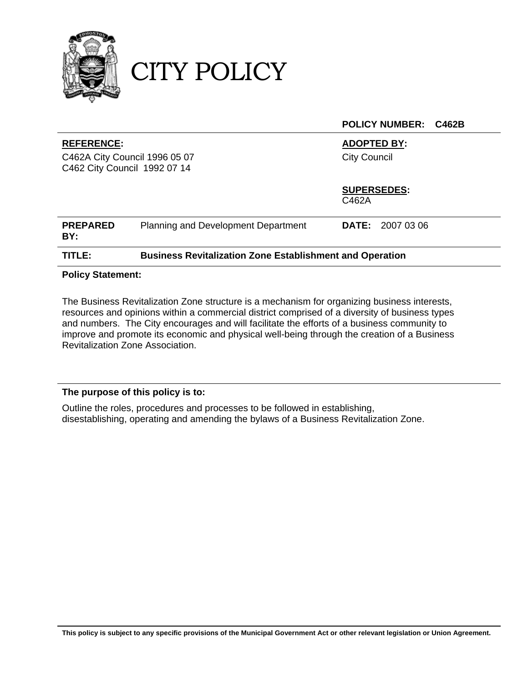

CITY POLICY

|                                                                                    |                                                                 | <b>POLICY NUMBER:</b><br>C462B            |
|------------------------------------------------------------------------------------|-----------------------------------------------------------------|-------------------------------------------|
| <b>REFERENCE:</b><br>C462A City Council 1996 05 07<br>C462 City Council 1992 07 14 |                                                                 | <b>ADOPTED BY:</b><br><b>City Council</b> |
|                                                                                    |                                                                 | <b>SUPERSEDES:</b><br>C462A               |
| <b>PREPARED</b><br>BY:                                                             | Planning and Development Department                             | <b>DATE:</b> 2007 03 06                   |
| TITLE:                                                                             | <b>Business Revitalization Zone Establishment and Operation</b> |                                           |

### **Policy Statement:**

The Business Revitalization Zone structure is a mechanism for organizing business interests, resources and opinions within a commercial district comprised of a diversity of business types and numbers. The City encourages and will facilitate the efforts of a business community to improve and promote its economic and physical well-being through the creation of a Business Revitalization Zone Association.

### **The purpose of this policy is to:**

Outline the roles, procedures and processes to be followed in establishing, disestablishing, operating and amending the bylaws of a Business Revitalization Zone.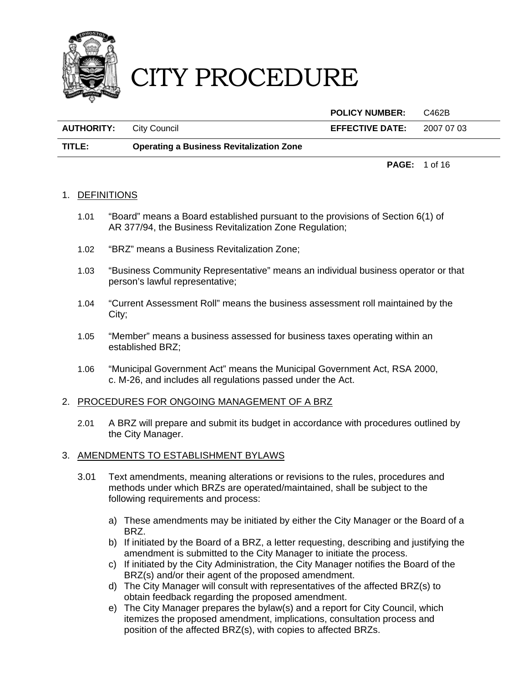

|                   |                                                 | <b>POLICY NUMBER:</b>  | C462B                |
|-------------------|-------------------------------------------------|------------------------|----------------------|
| <b>AUTHORITY:</b> | City Council                                    | <b>EFFECTIVE DATE:</b> | 2007 07 03           |
| TITLE:            | <b>Operating a Business Revitalization Zone</b> |                        |                      |
|                   |                                                 |                        | <b>PAGE:</b> 1 of 16 |

#### 1. DEFINITIONS

- 1.01 "Board" means a Board established pursuant to the provisions of Section 6(1) of AR 377/94, the Business Revitalization Zone Regulation;
- 1.02 "BRZ" means a Business Revitalization Zone;
- 1.03 "Business Community Representative" means an individual business operator or that person's lawful representative;
- 1.04 "Current Assessment Roll" means the business assessment roll maintained by the City;
- 1.05 "Member" means a business assessed for business taxes operating within an established BRZ;
- 1.06 "Municipal Government Act" means the Municipal Government Act, RSA 2000, c. M-26, and includes all regulations passed under the Act.

#### 2. PROCEDURES FOR ONGOING MANAGEMENT OF A BRZ

2.01 A BRZ will prepare and submit its budget in accordance with procedures outlined by the City Manager.

#### 3. AMENDMENTS TO ESTABLISHMENT BYLAWS

- 3.01 Text amendments, meaning alterations or revisions to the rules, procedures and methods under which BRZs are operated/maintained, shall be subject to the following requirements and process:
	- a) These amendments may be initiated by either the City Manager or the Board of a BRZ.
	- b) If initiated by the Board of a BRZ, a letter requesting, describing and justifying the amendment is submitted to the City Manager to initiate the process.
	- c) If initiated by the City Administration, the City Manager notifies the Board of the BRZ(s) and/or their agent of the proposed amendment.
	- d) The City Manager will consult with representatives of the affected BRZ(s) to obtain feedback regarding the proposed amendment.
	- e) The City Manager prepares the bylaw(s) and a report for City Council, which itemizes the proposed amendment, implications, consultation process and position of the affected BRZ(s), with copies to affected BRZs.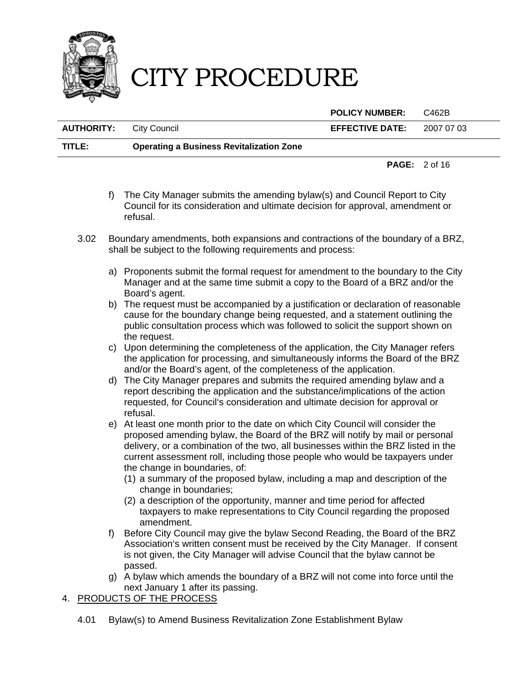

|                                |                                                 | <b>POLICY NUMBER:</b>             | C462B                           |  |
|--------------------------------|-------------------------------------------------|-----------------------------------|---------------------------------|--|
| <b>AUTHORITY:</b> City Council |                                                 | <b>EFFECTIVE DATE:</b> $20070703$ |                                 |  |
| TITLE:                         | <b>Operating a Business Revitalization Zone</b> |                                   |                                 |  |
|                                |                                                 |                                   | <b>PAGE:</b> $2 \text{ of } 16$ |  |

- f) The City Manager submits the amending bylaw(s) and Council Report to City Council for its consideration and ultimate decision for approval, amendment or refusal.
- 3.02 Boundary amendments, both expansions and contractions of the boundary of a BRZ, shall be subject to the following requirements and process:
	- a) Proponents submit the formal request for amendment to the boundary to the City Manager and at the same time submit a copy to the Board of a BRZ and/or the Board's agent.
	- b) The request must be accompanied by a justification or declaration of reasonable cause for the boundary change being requested, and a statement outlining the public consultation process which was followed to solicit the support shown on the request.
	- c) Upon determining the completeness of the application, the City Manager refers the application for processing, and simultaneously informs the Board of the BRZ and/or the Board's agent, of the completeness of the application.
	- d) The City Manager prepares and submits the required amending bylaw and a report describing the application and the substance/implications of the action requested, for Council's consideration and ultimate decision for approval or refusal.
	- e) At least one month prior to the date on which City Council will consider the proposed amending bylaw, the Board of the BRZ will notify by mail or personal delivery, or a combination of the two, all businesses within the BRZ listed in the current assessment roll, including those people who would be taxpayers under the change in boundaries, of:
		- (1) a summary of the proposed bylaw, including a map and description of the change in boundaries;
		- (2) a description of the opportunity, manner and time period for affected taxpayers to make representations to City Council regarding the proposed amendment.
	- f) Before City Council may give the bylaw Second Reading, the Board of the BRZ Association's written consent must be received by the City Manager. If consent is not given, the City Manager will advise Council that the bylaw cannot be passed.
	- g) A bylaw which amends the boundary of a BRZ will not come into force until the next January 1 after its passing.

### 4. PRODUCTS OF THE PROCESS

4.01 Bylaw(s) to Amend Business Revitalization Zone Establishment Bylaw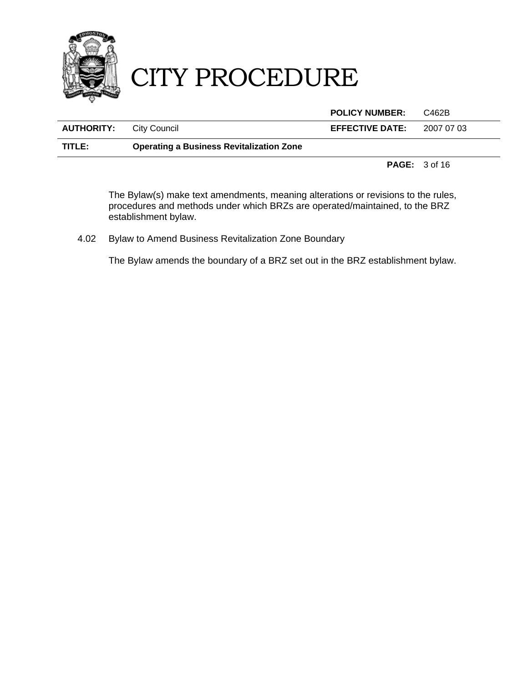

|                                |                                                 | <b>POLICY NUMBER:</b>  | C462B      |
|--------------------------------|-------------------------------------------------|------------------------|------------|
| <b>AUTHORITY:</b> City Council |                                                 | <b>EFFECTIVE DATE:</b> | 2007 07 03 |
| TITLE:                         | <b>Operating a Business Revitalization Zone</b> |                        |            |
|                                |                                                 |                        |            |

**PAGE:** 3 of 16

The Bylaw(s) make text amendments, meaning alterations or revisions to the rules, procedures and methods under which BRZs are operated/maintained, to the BRZ establishment bylaw.

4.02 Bylaw to Amend Business Revitalization Zone Boundary

The Bylaw amends the boundary of a BRZ set out in the BRZ establishment bylaw.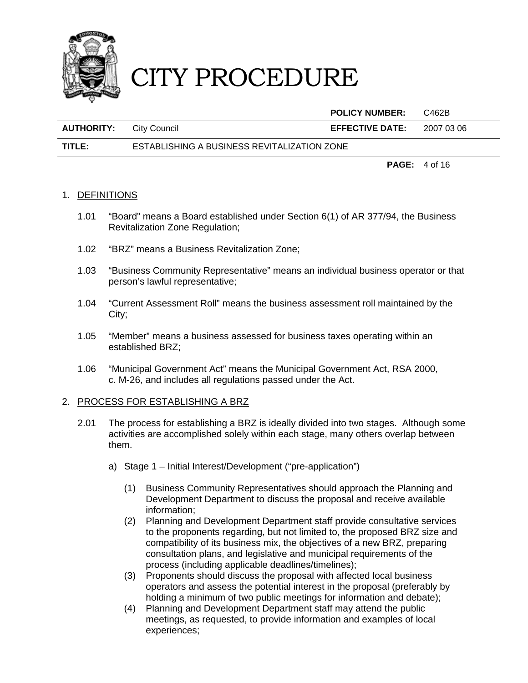

|                                |                                             | <b>POLICY NUMBER:</b>  | C462B      |
|--------------------------------|---------------------------------------------|------------------------|------------|
| <b>AUTHORITY:</b> City Council |                                             | <b>EFFECTIVE DATE:</b> | 2007 03 06 |
| TITLE:                         | ESTABLISHING A BUSINESS REVITALIZATION ZONE |                        |            |

**PAGE:** 4 of 16

### 1. DEFINITIONS

- 1.01 "Board" means a Board established under Section 6(1) of AR 377/94, the Business Revitalization Zone Regulation;
- 1.02 "BRZ" means a Business Revitalization Zone;
- 1.03 "Business Community Representative" means an individual business operator or that person's lawful representative;
- 1.04 "Current Assessment Roll" means the business assessment roll maintained by the City;
- 1.05 "Member" means a business assessed for business taxes operating within an established BRZ;
- 1.06 "Municipal Government Act" means the Municipal Government Act, RSA 2000, c. M-26, and includes all regulations passed under the Act.

#### 2. PROCESS FOR ESTABLISHING A BRZ

- 2.01 The process for establishing a BRZ is ideally divided into two stages. Although some activities are accomplished solely within each stage, many others overlap between them.
	- a) Stage 1 Initial Interest/Development ("pre-application")
		- (1) Business Community Representatives should approach the Planning and Development Department to discuss the proposal and receive available information;
		- (2) Planning and Development Department staff provide consultative services to the proponents regarding, but not limited to, the proposed BRZ size and compatibility of its business mix, the objectives of a new BRZ, preparing consultation plans, and legislative and municipal requirements of the process (including applicable deadlines/timelines);
		- (3) Proponents should discuss the proposal with affected local business operators and assess the potential interest in the proposal (preferably by holding a minimum of two public meetings for information and debate);
		- (4) Planning and Development Department staff may attend the public meetings, as requested, to provide information and examples of local experiences;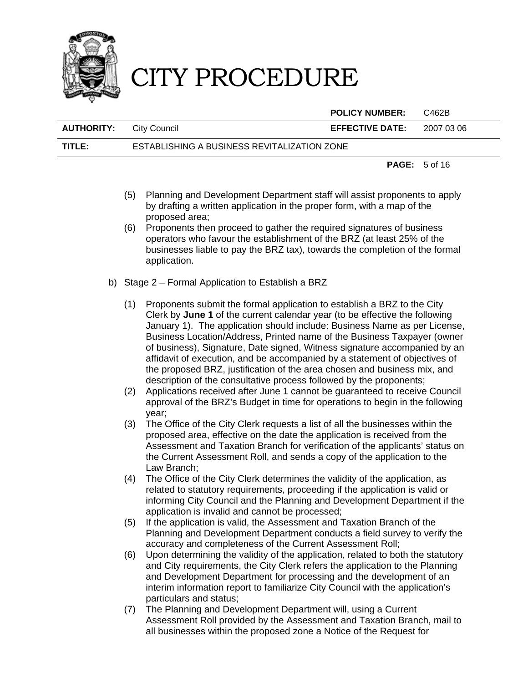

**POLICY NUMBER:** C462B

| <b>AUTHORITY:</b> City Council |                                             | <b>EFFECTIVE DATE:</b> | 2007 03 06 |
|--------------------------------|---------------------------------------------|------------------------|------------|
| TITLE:                         | ESTABLISHING A BUSINESS REVITALIZATION ZONE |                        |            |

**PAGE:** 5 of 16

- (5) Planning and Development Department staff will assist proponents to apply by drafting a written application in the proper form, with a map of the proposed area;
- (6) Proponents then proceed to gather the required signatures of business operators who favour the establishment of the BRZ (at least 25% of the businesses liable to pay the BRZ tax), towards the completion of the formal application.
- b) Stage 2 Formal Application to Establish a BRZ
	- (1) Proponents submit the formal application to establish a BRZ to the City Clerk by **June 1** of the current calendar year (to be effective the following January 1). The application should include: Business Name as per License, Business Location/Address, Printed name of the Business Taxpayer (owner of business), Signature, Date signed, Witness signature accompanied by an affidavit of execution, and be accompanied by a statement of objectives of the proposed BRZ, justification of the area chosen and business mix, and description of the consultative process followed by the proponents;
	- (2) Applications received after June 1 cannot be guaranteed to receive Council approval of the BRZ's Budget in time for operations to begin in the following year;
	- (3) The Office of the City Clerk requests a list of all the businesses within the proposed area, effective on the date the application is received from the Assessment and Taxation Branch for verification of the applicants' status on the Current Assessment Roll, and sends a copy of the application to the Law Branch;
	- (4) The Office of the City Clerk determines the validity of the application, as related to statutory requirements, proceeding if the application is valid or informing City Council and the Planning and Development Department if the application is invalid and cannot be processed;
	- (5) If the application is valid, the Assessment and Taxation Branch of the Planning and Development Department conducts a field survey to verify the accuracy and completeness of the Current Assessment Roll;
	- (6) Upon determining the validity of the application, related to both the statutory and City requirements, the City Clerk refers the application to the Planning and Development Department for processing and the development of an interim information report to familiarize City Council with the application's particulars and status;
	- (7) The Planning and Development Department will, using a Current Assessment Roll provided by the Assessment and Taxation Branch, mail to all businesses within the proposed zone a Notice of the Request for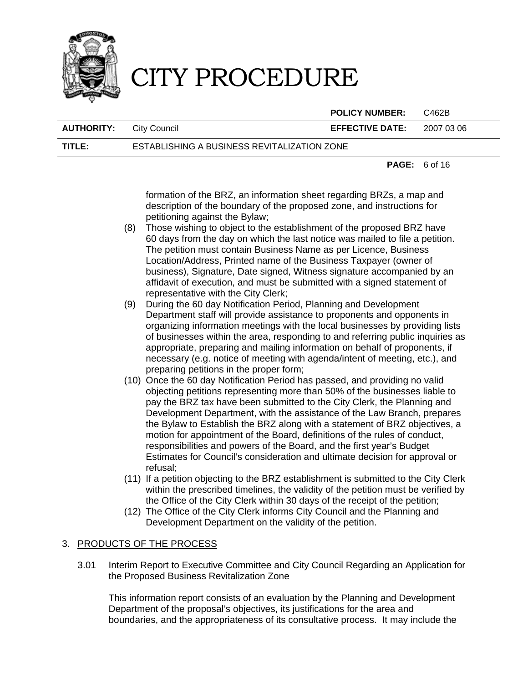

**POLICY NUMBER:** C462B

**AUTHORITY:** City Council **EFFECTIVE DATE:** 2007 03 06

**TITLE:** ESTABLISHING A BUSINESS REVITALIZATION ZONE

**PAGE:** 6 of 16

formation of the BRZ, an information sheet regarding BRZs, a map and description of the boundary of the proposed zone, and instructions for petitioning against the Bylaw;

- (8) Those wishing to object to the establishment of the proposed BRZ have 60 days from the day on which the last notice was mailed to file a petition. The petition must contain Business Name as per Licence, Business Location/Address, Printed name of the Business Taxpayer (owner of business), Signature, Date signed, Witness signature accompanied by an affidavit of execution, and must be submitted with a signed statement of representative with the City Clerk;
- (9) During the 60 day Notification Period, Planning and Development Department staff will provide assistance to proponents and opponents in organizing information meetings with the local businesses by providing lists of businesses within the area, responding to and referring public inquiries as appropriate, preparing and mailing information on behalf of proponents, if necessary (e.g. notice of meeting with agenda/intent of meeting, etc.), and preparing petitions in the proper form;
- (10) Once the 60 day Notification Period has passed, and providing no valid objecting petitions representing more than 50% of the businesses liable to pay the BRZ tax have been submitted to the City Clerk, the Planning and Development Department, with the assistance of the Law Branch, prepares the Bylaw to Establish the BRZ along with a statement of BRZ objectives, a motion for appointment of the Board, definitions of the rules of conduct, responsibilities and powers of the Board, and the first year's Budget Estimates for Council's consideration and ultimate decision for approval or refusal;
- (11) If a petition objecting to the BRZ establishment is submitted to the City Clerk within the prescribed timelines, the validity of the petition must be verified by the Office of the City Clerk within 30 days of the receipt of the petition;
- (12) The Office of the City Clerk informs City Council and the Planning and Development Department on the validity of the petition.

### 3. PRODUCTS OF THE PROCESS

3.01 Interim Report to Executive Committee and City Council Regarding an Application for the Proposed Business Revitalization Zone

This information report consists of an evaluation by the Planning and Development Department of the proposal's objectives, its justifications for the area and boundaries, and the appropriateness of its consultative process. It may include the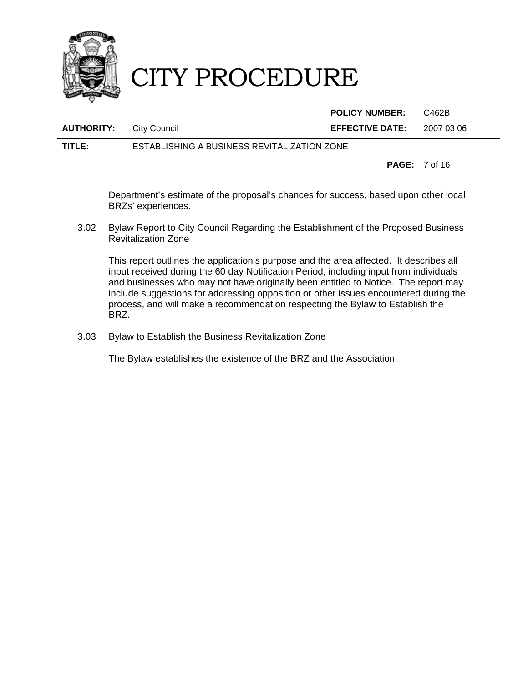

|                                |                                             | <b>POLICY NUMBER:</b>  | C462B      |
|--------------------------------|---------------------------------------------|------------------------|------------|
| <b>AUTHORITY:</b> City Council |                                             | <b>EFFECTIVE DATE:</b> | 2007 03 06 |
| TITLE:                         | ESTABLISHING A BUSINESS REVITALIZATION ZONE |                        |            |

**PAGE:** 7 of 16

Department's estimate of the proposal's chances for success, based upon other local BRZs' experiences.

3.02 Bylaw Report to City Council Regarding the Establishment of the Proposed Business Revitalization Zone

This report outlines the application's purpose and the area affected. It describes all input received during the 60 day Notification Period, including input from individuals and businesses who may not have originally been entitled to Notice. The report may include suggestions for addressing opposition or other issues encountered during the process, and will make a recommendation respecting the Bylaw to Establish the BRZ.

3.03 Bylaw to Establish the Business Revitalization Zone

The Bylaw establishes the existence of the BRZ and the Association.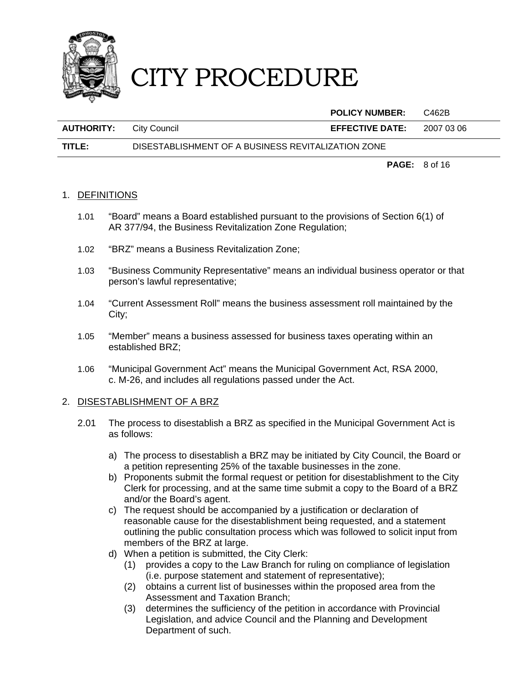

|                   |                                                    | <b>POLICY NUMBER:</b>  | C462B      |
|-------------------|----------------------------------------------------|------------------------|------------|
| <b>AUTHORITY:</b> | City Council                                       | <b>EFFECTIVE DATE:</b> | 2007 03 06 |
| TITLE:            | DISESTABLISHMENT OF A BUSINESS REVITALIZATION ZONE |                        |            |

**PAGE:** 8 of 16

### 1. DEFINITIONS

- 1.01 "Board" means a Board established pursuant to the provisions of Section 6(1) of AR 377/94, the Business Revitalization Zone Regulation;
- 1.02 "BRZ" means a Business Revitalization Zone;
- 1.03 "Business Community Representative" means an individual business operator or that person's lawful representative;
- 1.04 "Current Assessment Roll" means the business assessment roll maintained by the City;
- 1.05 "Member" means a business assessed for business taxes operating within an established BRZ;
- 1.06 "Municipal Government Act" means the Municipal Government Act, RSA 2000, c. M-26, and includes all regulations passed under the Act.

#### 2. DISESTABLISHMENT OF A BRZ

- 2.01 The process to disestablish a BRZ as specified in the Municipal Government Act is as follows:
	- a) The process to disestablish a BRZ may be initiated by City Council, the Board or a petition representing 25% of the taxable businesses in the zone.
	- b) Proponents submit the formal request or petition for disestablishment to the City Clerk for processing, and at the same time submit a copy to the Board of a BRZ and/or the Board's agent.
	- c) The request should be accompanied by a justification or declaration of reasonable cause for the disestablishment being requested, and a statement outlining the public consultation process which was followed to solicit input from members of the BRZ at large.
	- d) When a petition is submitted, the City Clerk:
		- (1) provides a copy to the Law Branch for ruling on compliance of legislation (i.e. purpose statement and statement of representative);
		- (2) obtains a current list of businesses within the proposed area from the Assessment and Taxation Branch;
		- (3) determines the sufficiency of the petition in accordance with Provincial Legislation, and advice Council and the Planning and Development Department of such.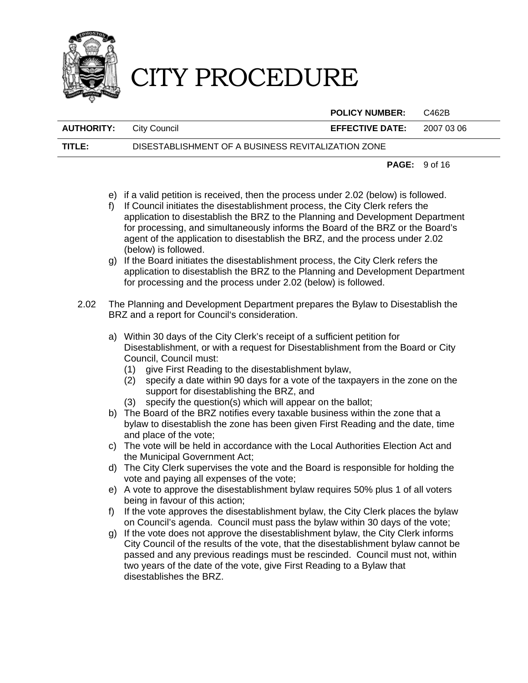

**POLICY NUMBER:** C462B

**AUTHORITY:** City Council **EFFECTIVE DATE:** 2007 03 06

**TITLE:** DISESTABLISHMENT OF A BUSINESS REVITALIZATION ZONE

**PAGE:** 9 of 16

- e) if a valid petition is received, then the process under 2.02 (below) is followed.
- f) If Council initiates the disestablishment process, the City Clerk refers the application to disestablish the BRZ to the Planning and Development Department for processing, and simultaneously informs the Board of the BRZ or the Board's agent of the application to disestablish the BRZ, and the process under 2.02 (below) is followed.
- g) If the Board initiates the disestablishment process, the City Clerk refers the application to disestablish the BRZ to the Planning and Development Department for processing and the process under 2.02 (below) is followed.
- 2.02 The Planning and Development Department prepares the Bylaw to Disestablish the BRZ and a report for Council's consideration.
	- a) Within 30 days of the City Clerk's receipt of a sufficient petition for Disestablishment, or with a request for Disestablishment from the Board or City Council, Council must:
		- (1) give First Reading to the disestablishment bylaw,
		- (2) specify a date within 90 days for a vote of the taxpayers in the zone on the support for disestablishing the BRZ, and
		- (3) specify the question(s) which will appear on the ballot;
	- b) The Board of the BRZ notifies every taxable business within the zone that a bylaw to disestablish the zone has been given First Reading and the date, time and place of the vote;
	- c) The vote will be held in accordance with the Local Authorities Election Act and the Municipal Government Act;
	- d) The City Clerk supervises the vote and the Board is responsible for holding the vote and paying all expenses of the vote;
	- e) A vote to approve the disestablishment bylaw requires 50% plus 1 of all voters being in favour of this action;
	- f) If the vote approves the disestablishment bylaw, the City Clerk places the bylaw on Council's agenda. Council must pass the bylaw within 30 days of the vote;
	- g) If the vote does not approve the disestablishment bylaw, the City Clerk informs City Council of the results of the vote, that the disestablishment bylaw cannot be passed and any previous readings must be rescinded. Council must not, within two years of the date of the vote, give First Reading to a Bylaw that disestablishes the BRZ.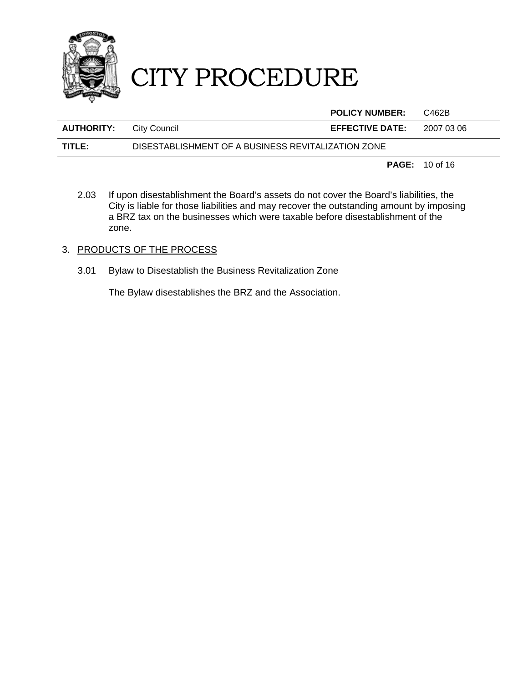

|                                |                                                    | <b>POLICY NUMBER:</b>  | C462B      |
|--------------------------------|----------------------------------------------------|------------------------|------------|
| <b>AUTHORITY:</b> City Council |                                                    | <b>EFFECTIVE DATE:</b> | 2007 03 06 |
| TITLE:                         | DISESTABLISHMENT OF A BUSINESS REVITALIZATION ZONE |                        |            |
|                                |                                                    |                        |            |

**PAGE:** 10 of 16

2.03 If upon disestablishment the Board's assets do not cover the Board's liabilities, the City is liable for those liabilities and may recover the outstanding amount by imposing a BRZ tax on the businesses which were taxable before disestablishment of the zone.

### 3. PRODUCTS OF THE PROCESS

3.01 Bylaw to Disestablish the Business Revitalization Zone

The Bylaw disestablishes the BRZ and the Association.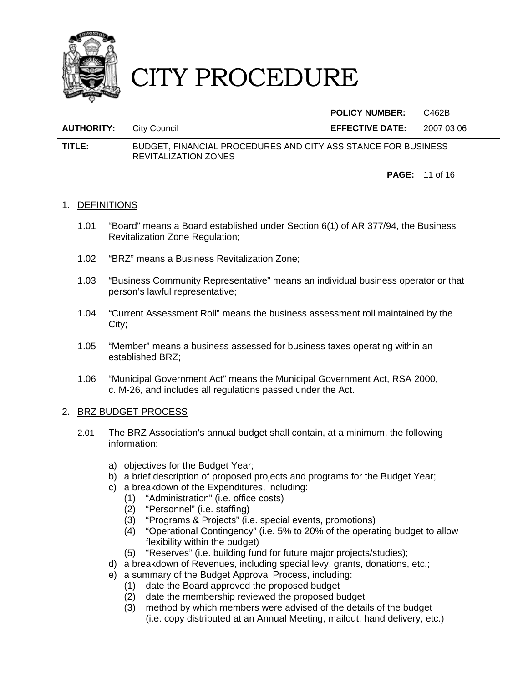

**POLICY NUMBER:** C462B

| <b>AUTHORITY:</b> City Council |                                                                                              | <b>EFFECTIVE DATE:</b> | 2007 03 06 |
|--------------------------------|----------------------------------------------------------------------------------------------|------------------------|------------|
| TITLE:                         | BUDGET, FINANCIAL PROCEDURES AND CITY ASSISTANCE FOR BUSINESS<br><b>REVITALIZATION ZONES</b> |                        |            |

**PAGE:** 11 of 16

### 1. DEFINITIONS

- 1.01 "Board" means a Board established under Section 6(1) of AR 377/94, the Business Revitalization Zone Regulation;
- 1.02 "BRZ" means a Business Revitalization Zone;
- 1.03 "Business Community Representative" means an individual business operator or that person's lawful representative;
- 1.04 "Current Assessment Roll" means the business assessment roll maintained by the City;
- 1.05 "Member" means a business assessed for business taxes operating within an established BRZ;
- 1.06 "Municipal Government Act" means the Municipal Government Act, RSA 2000, c. M-26, and includes all regulations passed under the Act.

### 2. BRZ BUDGET PROCESS

- 2.01 The BRZ Association's annual budget shall contain, at a minimum, the following information:
	- a) objectives for the Budget Year;
	- b) a brief description of proposed projects and programs for the Budget Year;
	- c) a breakdown of the Expenditures, including:
		- (1) "Administration" (i.e. office costs)
		- (2) "Personnel" (i.e. staffing)
		- (3) "Programs & Projects" (i.e. special events, promotions)
		- (4) "Operational Contingency" (i.e. 5% to 20% of the operating budget to allow flexibility within the budget)
		- (5) "Reserves" (i.e. building fund for future major projects/studies);
	- d) a breakdown of Revenues, including special levy, grants, donations, etc.;
	- e) a summary of the Budget Approval Process, including:
		- (1) date the Board approved the proposed budget
		- (2) date the membership reviewed the proposed budget
		- (3) method by which members were advised of the details of the budget (i.e. copy distributed at an Annual Meeting, mailout, hand delivery, etc.)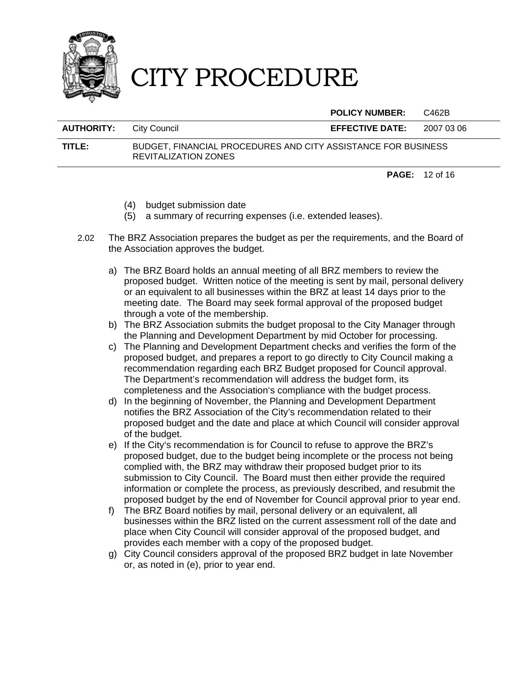

**POLICY NUMBER:** C462B

| <b>AUTHORITY:</b> | City Council                                                                          | <b>EFFECTIVE DATE:</b> | 2007 03 06 |
|-------------------|---------------------------------------------------------------------------------------|------------------------|------------|
| TITLE:            | BUDGET, FINANCIAL PROCEDURES AND CITY ASSISTANCE FOR BUSINESS<br>REVITALIZATION ZONES |                        |            |

**PAGE:** 12 of 16

- (4) budget submission date
- (5) a summary of recurring expenses (i.e. extended leases).
- 2.02 The BRZ Association prepares the budget as per the requirements, and the Board of the Association approves the budget.
	- a) The BRZ Board holds an annual meeting of all BRZ members to review the proposed budget. Written notice of the meeting is sent by mail, personal delivery or an equivalent to all businesses within the BRZ at least 14 days prior to the meeting date. The Board may seek formal approval of the proposed budget through a vote of the membership.
	- b) The BRZ Association submits the budget proposal to the City Manager through the Planning and Development Department by mid October for processing.
	- c) The Planning and Development Department checks and verifies the form of the proposed budget, and prepares a report to go directly to City Council making a recommendation regarding each BRZ Budget proposed for Council approval. The Department's recommendation will address the budget form, its completeness and the Association's compliance with the budget process.
	- d) In the beginning of November, the Planning and Development Department notifies the BRZ Association of the City's recommendation related to their proposed budget and the date and place at which Council will consider approval of the budget.
	- e) If the City's recommendation is for Council to refuse to approve the BRZ's proposed budget, due to the budget being incomplete or the process not being complied with, the BRZ may withdraw their proposed budget prior to its submission to City Council. The Board must then either provide the required information or complete the process, as previously described, and resubmit the proposed budget by the end of November for Council approval prior to year end.
	- f) The BRZ Board notifies by mail, personal delivery or an equivalent, all businesses within the BRZ listed on the current assessment roll of the date and place when City Council will consider approval of the proposed budget, and provides each member with a copy of the proposed budget.
	- g) City Council considers approval of the proposed BRZ budget in late November or, as noted in (e), prior to year end.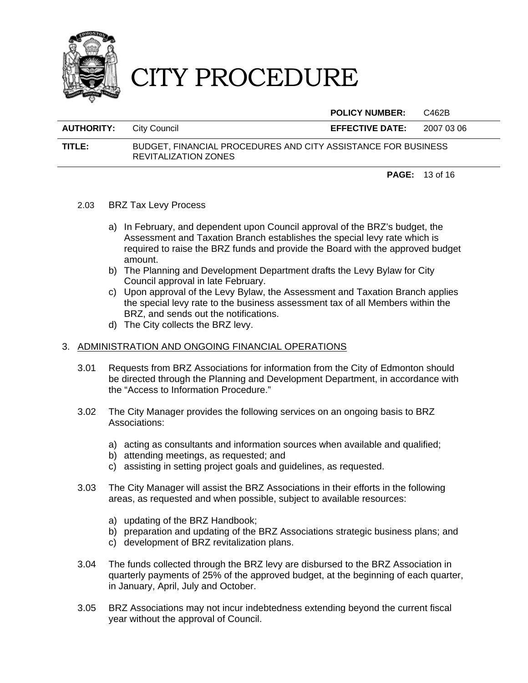

**POLICY NUMBER:** C462B

| <b>AUTHORITY:</b> | City Council                                                                          | <b>EFFECTIVE DATE:</b> | 2007 03 06 |
|-------------------|---------------------------------------------------------------------------------------|------------------------|------------|
| TITLE:            | BUDGET, FINANCIAL PROCEDURES AND CITY ASSISTANCE FOR BUSINESS<br>REVITALIZATION ZONES |                        |            |

**PAGE:** 13 of 16

- 2.03 BRZ Tax Levy Process
	- a) In February, and dependent upon Council approval of the BRZ's budget, the Assessment and Taxation Branch establishes the special levy rate which is required to raise the BRZ funds and provide the Board with the approved budget amount.
	- b) The Planning and Development Department drafts the Levy Bylaw for City Council approval in late February.
	- c) Upon approval of the Levy Bylaw, the Assessment and Taxation Branch applies the special levy rate to the business assessment tax of all Members within the BRZ, and sends out the notifications.
	- d) The City collects the BRZ levy.

### 3. ADMINISTRATION AND ONGOING FINANCIAL OPERATIONS

- 3.01 Requests from BRZ Associations for information from the City of Edmonton should be directed through the Planning and Development Department, in accordance with the "Access to Information Procedure."
- 3.02 The City Manager provides the following services on an ongoing basis to BRZ Associations:
	- a) acting as consultants and information sources when available and qualified;
	- b) attending meetings, as requested; and
	- c) assisting in setting project goals and guidelines, as requested.
- 3.03 The City Manager will assist the BRZ Associations in their efforts in the following areas, as requested and when possible, subject to available resources:
	- a) updating of the BRZ Handbook;
	- b) preparation and updating of the BRZ Associations strategic business plans; and
	- c) development of BRZ revitalization plans.
- 3.04 The funds collected through the BRZ levy are disbursed to the BRZ Association in quarterly payments of 25% of the approved budget, at the beginning of each quarter, in January, April, July and October.
- 3.05 BRZ Associations may not incur indebtedness extending beyond the current fiscal year without the approval of Council.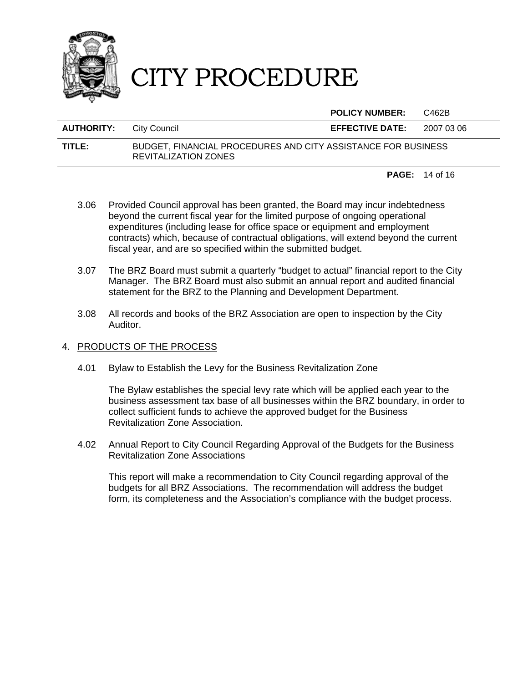

**POLICY NUMBER:** C462B

### **AUTHORITY:** City Council **EFFECTIVE DATE:** 2007 03 06 **TITLE:** BUDGET, FINANCIAL PROCEDURES AND CITY ASSISTANCE FOR BUSINESS REVITALIZATION ZONES

**PAGE:** 14 of 16

- 3.06 Provided Council approval has been granted, the Board may incur indebtedness beyond the current fiscal year for the limited purpose of ongoing operational expenditures (including lease for office space or equipment and employment contracts) which, because of contractual obligations, will extend beyond the current fiscal year, and are so specified within the submitted budget.
- 3.07 The BRZ Board must submit a quarterly "budget to actual" financial report to the City Manager. The BRZ Board must also submit an annual report and audited financial statement for the BRZ to the Planning and Development Department.
- 3.08 All records and books of the BRZ Association are open to inspection by the City Auditor.

### 4. PRODUCTS OF THE PROCESS

4.01 Bylaw to Establish the Levy for the Business Revitalization Zone

The Bylaw establishes the special levy rate which will be applied each year to the business assessment tax base of all businesses within the BRZ boundary, in order to collect sufficient funds to achieve the approved budget for the Business Revitalization Zone Association.

4.02 Annual Report to City Council Regarding Approval of the Budgets for the Business Revitalization Zone Associations

This report will make a recommendation to City Council regarding approval of the budgets for all BRZ Associations. The recommendation will address the budget form, its completeness and the Association's compliance with the budget process.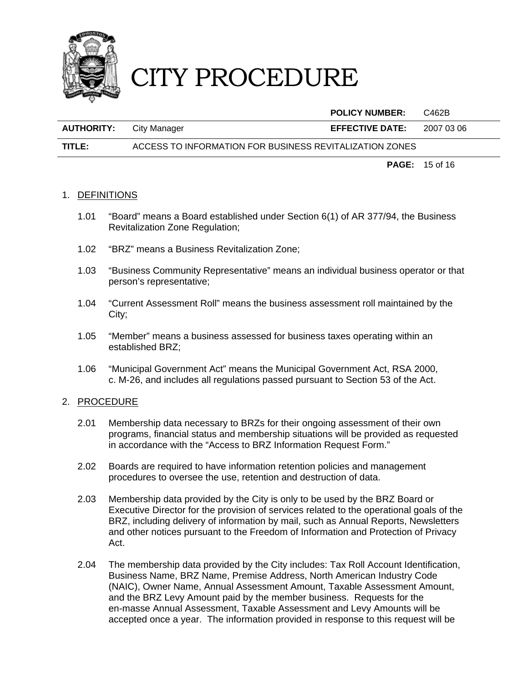

|                   |                                                         | <b>POLICY NUMBER:</b>  | C462B      |
|-------------------|---------------------------------------------------------|------------------------|------------|
| <b>AUTHORITY:</b> | City Manager                                            | <b>EFFECTIVE DATE:</b> | 2007 03 06 |
| TITLE:            | ACCESS TO INFORMATION FOR BUSINESS REVITALIZATION ZONES |                        |            |

**PAGE:** 15 of 16

### 1. DEFINITIONS

- 1.01 "Board" means a Board established under Section 6(1) of AR 377/94, the Business Revitalization Zone Regulation;
- 1.02 "BRZ" means a Business Revitalization Zone;
- 1.03 "Business Community Representative" means an individual business operator or that person's representative;
- 1.04 "Current Assessment Roll" means the business assessment roll maintained by the City;
- 1.05 "Member" means a business assessed for business taxes operating within an established BRZ;
- 1.06 "Municipal Government Act" means the Municipal Government Act, RSA 2000, c. M-26, and includes all regulations passed pursuant to Section 53 of the Act.

### 2. PROCEDURE

- 2.01 Membership data necessary to BRZs for their ongoing assessment of their own programs, financial status and membership situations will be provided as requested in accordance with the "Access to BRZ Information Request Form."
- 2.02 Boards are required to have information retention policies and management procedures to oversee the use, retention and destruction of data.
- 2.03 Membership data provided by the City is only to be used by the BRZ Board or Executive Director for the provision of services related to the operational goals of the BRZ, including delivery of information by mail, such as Annual Reports, Newsletters and other notices pursuant to the Freedom of Information and Protection of Privacy Act.
- 2.04 The membership data provided by the City includes: Tax Roll Account Identification, Business Name, BRZ Name, Premise Address, North American Industry Code (NAIC), Owner Name, Annual Assessment Amount, Taxable Assessment Amount, and the BRZ Levy Amount paid by the member business. Requests for the en-masse Annual Assessment, Taxable Assessment and Levy Amounts will be accepted once a year. The information provided in response to this request will be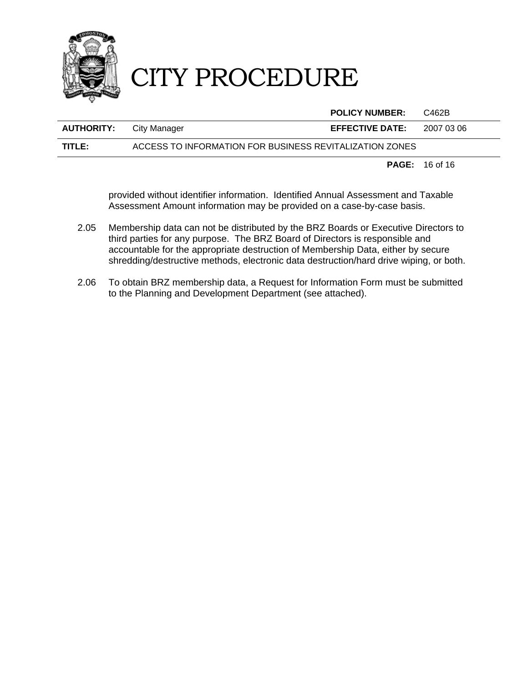

|                   |                                                         | <b>POLICY NUMBER:</b>  | C462B      |
|-------------------|---------------------------------------------------------|------------------------|------------|
| <b>AUTHORITY:</b> | City Manager                                            | <b>EFFECTIVE DATE:</b> | 2007 03 06 |
| TITLE: I          | ACCESS TO INFORMATION FOR BUSINESS REVITALIZATION ZONES |                        |            |

**PAGE:** 16 of 16

provided without identifier information. Identified Annual Assessment and Taxable Assessment Amount information may be provided on a case-by-case basis.

- 2.05 Membership data can not be distributed by the BRZ Boards or Executive Directors to third parties for any purpose. The BRZ Board of Directors is responsible and accountable for the appropriate destruction of Membership Data, either by secure shredding/destructive methods, electronic data destruction/hard drive wiping, or both.
- 2.06 To obtain BRZ membership data, a Request for Information Form must be submitted to the Planning and Development Department (see attached).